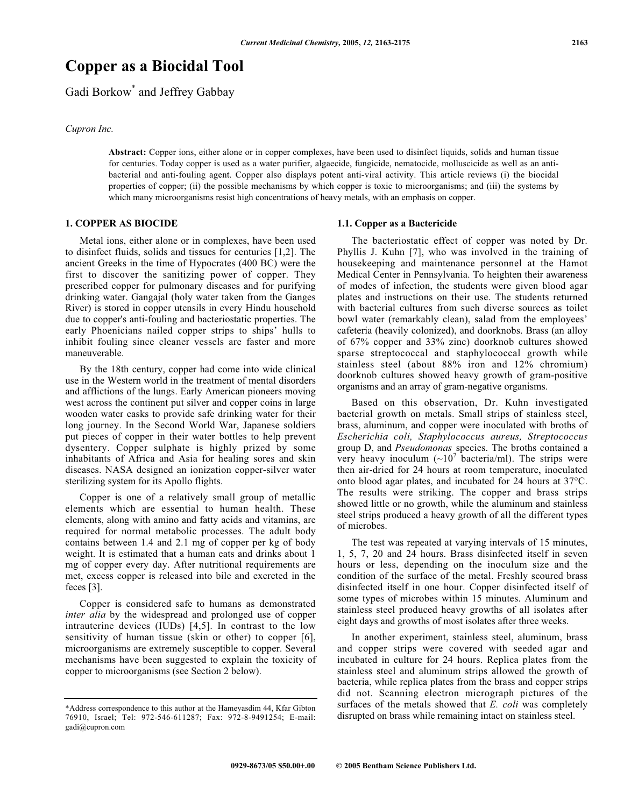# Copper as a Biocidal Tool

Gadi Borkow\* and Jeffrey Gabbay

Cupron Inc.

Abstract: Copper ions, either alone or in copper complexes, have been used to disinfect liquids, solids and human tissue for centuries. Today copper is used as a water purifier, algaecide, fungicide, nematocide, molluscicide as well as an antibacterial and anti-fouling agent. Copper also displays potent anti-viral activity. This article reviews (i) the biocidal properties of copper; (ii) the possible mechanisms by which copper is toxic to microorganisms; and (iii) the systems by which many microorganisms resist high concentrations of heavy metals, with an emphasis on copper.

# 1. COPPER AS BIOCIDE

Metal ions, either alone or in complexes, have been used to disinfect fluids, solids and tissues for centuries [1,2]. The ancient Greeks in the time of Hypocrates (400 BC) were the first to discover the sanitizing power of copper. They prescribed copper for pulmonary diseases and for purifying drinking water. Gangajal (holy water taken from the Ganges River) is stored in copper utensils in every Hindu household due to copper's anti-fouling and bacteriostatic properties. The early Phoenicians nailed copper strips to ships' hulls to inhibit fouling since cleaner vessels are faster and more maneuverable.

By the 18th century, copper had come into wide clinical use in the Western world in the treatment of mental disorders and afflictions of the lungs. Early American pioneers moving west across the continent put silver and copper coins in large wooden water casks to provide safe drinking water for their long journey. In the Second World War, Japanese soldiers put pieces of copper in their water bottles to help prevent dysentery. Copper sulphate is highly prized by some inhabitants of Africa and Asia for healing sores and skin diseases. NASA designed an ionization copper-silver water sterilizing system for its Apollo flights.

Copper is one of a relatively small group of metallic elements which are essential to human health. These elements, along with amino and fatty acids and vitamins, are required for normal metabolic processes. The adult body contains between 1.4 and 2.1 mg of copper per kg of body weight. It is estimated that a human eats and drinks about 1 mg of copper every day. After nutritional requirements are met, excess copper is released into bile and excreted in the feces [3].

Copper is considered safe to humans as demonstrated inter alia by the widespread and prolonged use of copper intrauterine devices (IUDs) [4,5]. In contrast to the low sensitivity of human tissue (skin or other) to copper [6], microorganisms are extremely susceptible to copper. Several mechanisms have been suggested to explain the toxicity of copper to microorganisms (see Section 2 below).

# 1.1. Copper as a Bactericide

The bacteriostatic effect of copper was noted by Dr. Phyllis J. Kuhn [7], who was involved in the training of housekeeping and maintenance personnel at the Hamot Medical Center in Pennsylvania. To heighten their awareness of modes of infection, the students were given blood agar plates and instructions on their use. The students returned with bacterial cultures from such diverse sources as toilet bowl water (remarkably clean), salad from the employees' cafeteria (heavily colonized), and doorknobs. Brass (an alloy of 67% copper and 33% zinc) doorknob cultures showed sparse streptococcal and staphylococcal growth while stainless steel (about 88% iron and 12% chromium) doorknob cultures showed heavy growth of gram-positive organisms and an array of gram-negative organisms.

Based on this observation, Dr. Kuhn investigated bacterial growth on metals. Small strips of stainless steel, brass, aluminum, and copper were inoculated with broths of Escherichia coli, Staphylococcus aureus, Streptococcus group D, and Pseudomonas species. The broths contained a very heavy inoculum  $(-10^7 \text{ bacteria/ml})$ . The strips were then air-dried for 24 hours at room temperature, inoculated onto blood agar plates, and incubated for 24 hours at 37°C. The results were striking. The copper and brass strips showed little or no growth, while the aluminum and stainless steel strips produced a heavy growth of all the different types of microbes.

The test was repeated at varying intervals of 15 minutes, 1, 5, 7, 20 and 24 hours. Brass disinfected itself in seven hours or less, depending on the inoculum size and the condition of the surface of the metal. Freshly scoured brass disinfected itself in one hour. Copper disinfected itself of some types of microbes within 15 minutes. Aluminum and stainless steel produced heavy growths of all isolates after eight days and growths of most isolates after three weeks.

In another experiment, stainless steel, aluminum, brass and copper strips were covered with seeded agar and incubated in culture for 24 hours. Replica plates from the stainless steel and aluminum strips allowed the growth of bacteria, while replica plates from the brass and copper strips did not. Scanning electron micrograph pictures of the surfaces of the metals showed that E. coli was completely disrupted on brass while remaining intact on stainless steel.

<sup>\*</sup>Address correspondence to this author at the Hameyasdim 44, Kfar Gibton 76910, Israel; Tel: 972-546-611287; Fax: 972-8-9491254; E-mail: gadi@cupron.com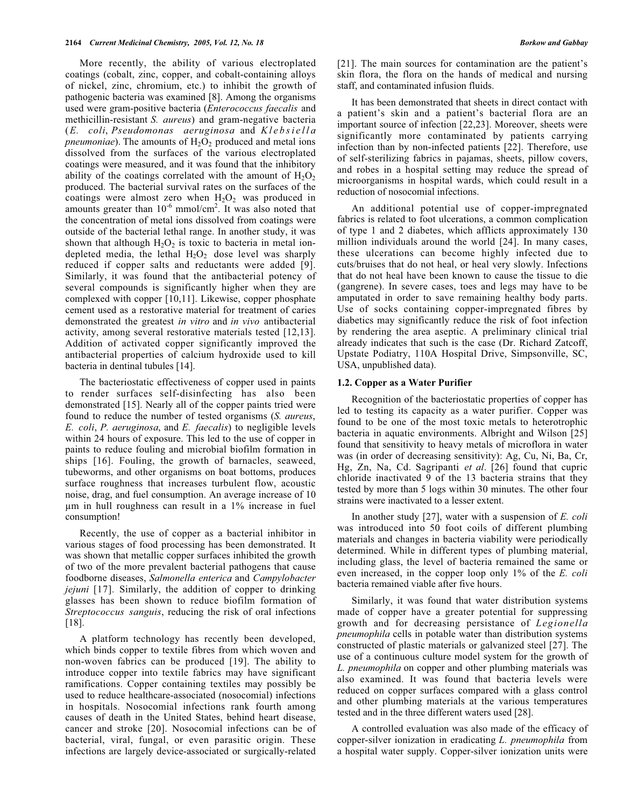More recently, the ability of various electroplated coatings (cobalt, zinc, copper, and cobalt-containing alloys of nickel, zinc, chromium, etc.) to inhibit the growth of pathogenic bacteria was examined [8]. Among the organisms used were gram-positive bacteria (Enterococcus faecalis and methicillin-resistant S. aureus) and gram-negative bacteria  $(E. \; coli, Pseudomonas \; aeruginosa$  and  $K le b si el la$ *pneumoniae*). The amounts of  $H_2O_2$  produced and metal ions dissolved from the surfaces of the various electroplated coatings were measured, and it was found that the inhibitory ability of the coatings correlated with the amount of  $H_2O_2$ produced. The bacterial survival rates on the surfaces of the coatings were almost zero when  $H_2O_2$  was produced in amounts greater than  $10^{-6}$  mmol/cm<sup>2</sup>. It was also noted that the concentration of metal ions dissolved from coatings were outside of the bacterial lethal range. In another study, it was shown that although  $H_2O_2$  is toxic to bacteria in metal iondepleted media, the lethal  $H_2O_2$  dose level was sharply reduced if copper salts and reductants were added [9]. Similarly, it was found that the antibacterial potency of several compounds is significantly higher when they are complexed with copper [10,11]. Likewise, copper phosphate cement used as a restorative material for treatment of caries demonstrated the greatest *in vitro* and *in vivo* antibacterial activity, among several restorative materials tested [12,13]. Addition of activated copper significantly improved the antibacterial properties of calcium hydroxide used to kill bacteria in dentinal tubules [14].

The bacteriostatic effectiveness of copper used in paints to render surfaces self-disinfecting has also been demonstrated [15]. Nearly all of the copper paints tried were found to reduce the number of tested organisms (S. *aureus*, E. coli, P. aeruginosa, and E. faecalis) to negligible levels within 24 hours of exposure. This led to the use of copper in paints to reduce fouling and microbial biofilm formation in ships [16]. Fouling, the growth of barnacles, seaweed, tubeworms, and other organisms on boat bottoms, produces surface roughness that increases turbulent flow, acoustic noise, drag, and fuel consumption. An average increase of 10 m in hull roughness can result in a 1% increase in fuel consumption!

Recently, the use of copper as a bacterial inhibitor in various stages of food processing has been demonstrated. It was shown that metallic copper surfaces inhibited the growth of two of the more prevalent bacterial pathogens that cause foodborne diseases, Salmonella enterica and Campylobacter jejuni [17]. Similarly, the addition of copper to drinking glasses has been shown to reduce biofilm formation of Streptococcus sanguis, reducing the risk of oral infections [18].

A platform technology has recently been developed, which binds copper to textile fibres from which woven and non-woven fabrics can be produced [19]. The ability to introduce copper into textile fabrics may have significant ramifications. Copper containing textiles may possibly be used to reduce healthcare-associated (nosocomial) infections in hospitals. Nosocomial infections rank fourth among causes of death in the United States, behind heart disease, cancer and stroke [20]. Nosocomial infections can be of bacterial, viral, fungal, or even parasitic origin. These infections are largely device-associated or surgically-related

[21]. The main sources for contamination are the patient's skin flora, the flora on the hands of medical and nursing staff, and contaminated infusion fluids.

It has been demonstrated that sheets in direct contact with a patient's skin and a patient's bacterial flora are an important source of infection [22,23]. Moreover, sheets were significantly more contaminated by patients carrying infection than by non-infected patients [22]. Therefore, use of self-sterilizing fabrics in pajamas, sheets, pillow covers, and robes in a hospital setting may reduce the spread of microorganisms in hospital wards, which could result in a reduction of nosocomial infections.

An additional potential use of copper-impregnated fabrics is related to foot ulcerations, a common complication of type 1 and 2 diabetes, which afflicts approximately 130 million individuals around the world [24]. In many cases, these ulcerations can become highly infected due to cuts/bruises that do not heal, or heal very slowly. Infections that do not heal have been known to cause the tissue to die (gangrene). In severe cases, toes and legs may have to be amputated in order to save remaining healthy body parts. Use of socks containing copper-impregnated fibres by diabetics may significantly reduce the risk of foot infection by rendering the area aseptic. A preliminary clinical trial already indicates that such is the case (Dr. Richard Zatcoff, Upstate Podiatry, 110A Hospital Drive, Simpsonville, SC, USA, unpublished data).

## 1.2. Copper as a Water Purifier

Recognition of the bacteriostatic properties of copper has led to testing its capacity as a water purifier. Copper was found to be one of the most toxic metals to heterotrophic bacteria in aquatic environments. Albright and Wilson [25] found that sensitivity to heavy metals of microflora in water was (in order of decreasing sensitivity): Ag, Cu, Ni, Ba, Cr, Hg, Zn, Na, Cd. Sagripanti et al. [26] found that cupric chloride inactivated 9 of the 13 bacteria strains that they tested by more than 5 logs within 30 minutes. The other four strains were inactivated to a lesser extent.

In another study  $[27]$ , water with a suspension of E. coli was introduced into 50 foot coils of different plumbing materials and changes in bacteria viability were periodically determined. While in different types of plumbing material, including glass, the level of bacteria remained the same or even increased, in the copper loop only 1% of the E. coli bacteria remained viable after five hours.

Similarly, it was found that water distribution systems made of copper have a greater potential for suppressing growth and for decreasing persistance of Legionella pneumophila cells in potable water than distribution systems constructed of plastic materials or galvanized steel [27]. The use of a continuous culture model system for the growth of L. pneumophila on copper and other plumbing materials was also examined. It was found that bacteria levels were reduced on copper surfaces compared with a glass control and other plumbing materials at the various temperatures tested and in the three different waters used [28].

A controlled evaluation was also made of the efficacy of copper-silver ionization in eradicating L. pneumophila from a hospital water supply. Copper-silver ionization units were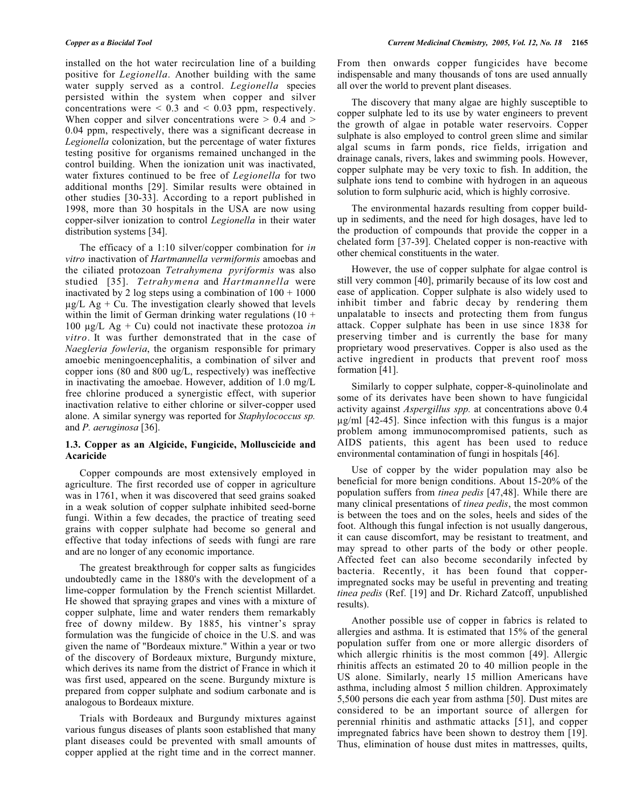installed on the hot water recirculation line of a building positive for Legionella. Another building with the same water supply served as a control. *Legionella* species persisted within the system when copper and silver concentrations were  $\leq 0.3$  and  $\leq 0.03$  ppm, respectively. When copper and silver concentrations were  $> 0.4$  and  $>$ 0.04 ppm, respectively, there was a significant decrease in Legionella colonization, but the percentage of water fixtures testing positive for organisms remained unchanged in the control building. When the ionization unit was inactivated, water fixtures continued to be free of Legionella for two additional months [29]. Similar results were obtained in other studies [30-33]. According to a report published in 1998, more than 30 hospitals in the USA are now using copper-silver ionization to control Legionella in their water distribution systems [34].

The efficacy of a 1:10 silver/copper combination for in vitro inactivation of Hartmannella vermiformis amoebas and the ciliated protozoan Tetrahymena pyriformis was also studied [35]. Tetrahymena and Hartmannella were inactivated by 2 log steps using a combination of  $100 + 1000$  $\mu$ g/L Ag + Cu. The investigation clearly showed that levels within the limit of German drinking water regulations  $(10 +$ 100  $\mu$ g/L Ag + Cu) could not inactivate these protozoa in vitro. It was further demonstrated that in the case of Naegleria fowleria, the organism responsible for primary amoebic meningoencephalitis, a combination of silver and copper ions (80 and 800 ug/L, respectively) was ineffective in inactivating the amoebae. However, addition of 1.0 mg/L free chlorine produced a synergistic effect, with superior inactivation relative to either chlorine or silver-copper used alone. A similar synergy was reported for Staphylococcus sp. and P. aeruginosa [36].

# 1.3. Copper as an Algicide, Fungicide, Molluscicide and Acaricide

Copper compounds are most extensively employed in agriculture. The first recorded use of copper in agriculture was in 1761, when it was discovered that seed grains soaked in a weak solution of copper sulphate inhibited seed-borne fungi. Within a few decades, the practice of treating seed grains with copper sulphate had become so general and effective that today infections of seeds with fungi are rare and are no longer of any economic importance.

The greatest breakthrough for copper salts as fungicides undoubtedly came in the 1880's with the development of a lime-copper formulation by the French scientist Millardet. He showed that spraying grapes and vines with a mixture of copper sulphate, lime and water renders them remarkably free of downy mildew. By 1885, his vintner's spray formulation was the fungicide of choice in the U.S. and was given the name of "Bordeaux mixture." Within a year or two of the discovery of Bordeaux mixture, Burgundy mixture, which derives its name from the district of France in which it was first used, appeared on the scene. Burgundy mixture is prepared from copper sulphate and sodium carbonate and is analogous to Bordeaux mixture.

Trials with Bordeaux and Burgundy mixtures against various fungus diseases of plants soon established that many plant diseases could be prevented with small amounts of copper applied at the right time and in the correct manner.

From then onwards copper fungicides have become indispensable and many thousands of tons are used annually all over the world to prevent plant diseases.

The discovery that many algae are highly susceptible to copper sulphate led to its use by water engineers to prevent the growth of algae in potable water reservoirs. Copper sulphate is also employed to control green slime and similar algal scums in farm ponds, rice fields, irrigation and drainage canals, rivers, lakes and swimming pools. However, copper sulphate may be very toxic to fish. In addition, the sulphate ions tend to combine with hydrogen in an aqueous solution to form sulphuric acid, which is highly corrosive.

The environmental hazards resulting from copper buildup in sediments, and the need for high dosages, have led to the production of compounds that provide the copper in a chelated form [37-39]. Chelated copper is non-reactive with other chemical constituents in the water.

However, the use of copper sulphate for algae control is still very common [40], primarily because of its low cost and ease of application. Copper sulphate is also widely used to inhibit timber and fabric decay by rendering them unpalatable to insects and protecting them from fungus attack. Copper sulphate has been in use since 1838 for preserving timber and is currently the base for many proprietary wood preservatives. Copper is also used as the active ingredient in products that prevent roof moss formation [41].

Similarly to copper sulphate, copper-8-quinolinolate and some of its derivates have been shown to have fungicidal activity against Aspergillus spp. at concentrations above 0.4  $\mu$ g/ml [42-45]. Since infection with this fungus is a major problem among immunocompromised patients, such as AIDS patients, this agent has been used to reduce environmental contamination of fungi in hospitals [46].

Use of copper by the wider population may also be beneficial for more benign conditions. About 15-20% of the population suffers from tinea pedis [47,48]. While there are many clinical presentations of tinea pedis, the most common is between the toes and on the soles, heels and sides of the foot. Although this fungal infection is not usually dangerous, it can cause discomfort, may be resistant to treatment, and may spread to other parts of the body or other people. Affected feet can also become secondarily infected by bacteria. Recently, it has been found that copperimpregnated socks may be useful in preventing and treating tinea pedis (Ref. [19] and Dr. Richard Zatcoff, unpublished results).

Another possible use of copper in fabrics is related to allergies and asthma. It is estimated that 15% of the general population suffer from one or more allergic disorders of which allergic rhinitis is the most common [49]. Allergic rhinitis affects an estimated 20 to 40 million people in the US alone. Similarly, nearly 15 million Americans have asthma, including almost 5 million children. Approximately 5,500 persons die each year from asthma [50]. Dust mites are considered to be an important source of allergen for perennial rhinitis and asthmatic attacks [51], and copper impregnated fabrics have been shown to destroy them [19]. Thus, elimination of house dust mites in mattresses, quilts,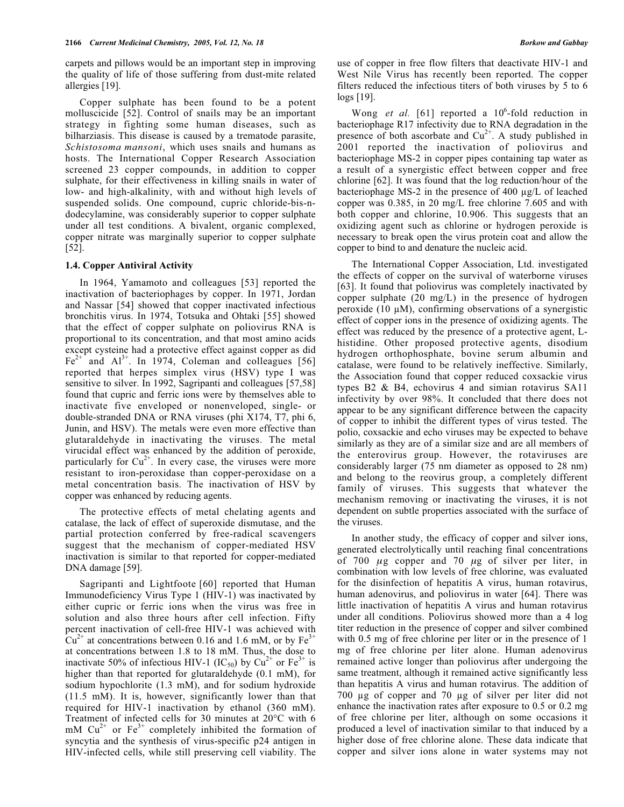carpets and pillows would be an important step in improving the quality of life of those suffering from dust-mite related allergies [19].

Copper sulphate has been found to be a potent molluscicide [52]. Control of snails may be an important strategy in fighting some human diseases, such as bilharziasis. This disease is caused by a trematode parasite, Schistosoma mansoni, which uses snails and humans as hosts. The International Copper Research Association screened 23 copper compounds, in addition to copper sulphate, for their effectiveness in killing snails in water of low- and high-alkalinity, with and without high levels of suspended solids. One compound, cupric chloride-bis-ndodecylamine, was considerably superior to copper sulphate under all test conditions. A bivalent, organic complexed, copper nitrate was marginally superior to copper sulphate [52].

## 1.4. Copper Antiviral Activity

In 1964, Yamamoto and colleagues [53] reported the inactivation of bacteriophages by copper. In 1971, Jordan and Nassar [54] showed that copper inactivated infectious bronchitis virus. In 1974, Totsuka and Ohtaki [55] showed that the effect of copper sulphate on poliovirus RNA is proportional to its concentration, and that most amino acids except cysteine had a protective effect against copper as did  $Fe<sup>2+</sup>$  and  $Al<sup>3+</sup>$ . In 1974, Coleman and colleagues [56] reported that herpes simplex virus (HSV) type I was sensitive to silver. In 1992, Sagripanti and colleagues [57,58] found that cupric and ferric ions were by themselves able to inactivate five enveloped or nonenveloped, single- or double-stranded DNA or RNA viruses (phi X174, T7, phi 6, Junin, and HSV). The metals were even more effective than glutaraldehyde in inactivating the viruses. The metal virucidal effect was enhanced by the addition of peroxide, particularly for  $Cu^{2+}$ . In every case, the viruses were more resistant to iron-peroxidase than copper-peroxidase on a metal concentration basis. The inactivation of HSV by copper was enhanced by reducing agents.

The protective effects of metal chelating agents and catalase, the lack of effect of superoxide dismutase, and the partial protection conferred by free-radical scavengers suggest that the mechanism of copper-mediated HSV inactivation is similar to that reported for copper-mediated DNA damage [59].

Sagripanti and Lightfoote [60] reported that Human Immunodeficiency Virus Type 1 (HIV-1) was inactivated by either cupric or ferric ions when the virus was free in solution and also three hours after cell infection. Fifty percent inactivation of cell-free HIV-1 was achieved with  $Cu^{2+}$  at concentrations between 0.16 and 1.6 mM, or by Fe<sup>3+</sup> at concentrations between 1.8 to 18 mM. Thus, the dose to inactivate 50% of infectious HIV-1 (IC<sub>50</sub>) by Cu<sup>2+</sup> or Fe<sup>3+</sup> is higher than that reported for glutaraldehyde (0.1 mM), for sodium hypochlorite (1.3 mM), and for sodium hydroxide (11.5 mM). It is, however, significantly lower than that required for HIV-1 inactivation by ethanol (360 mM). Treatment of infected cells for 30 minutes at 20°C with 6 mM  $Cu^{2+}$  or Fe<sup>3+</sup> completely inhibited the formation of syncytia and the synthesis of virus-specific p24 antigen in HIV-infected cells, while still preserving cell viability. The

use of copper in free flow filters that deactivate HIV-1 and West Nile Virus has recently been reported. The copper filters reduced the infectious titers of both viruses by 5 to 6 logs [19].

Wong et al. [61] reported a  $10^6$ -fold reduction in bacteriophage R17 infectivity due to RNA degradation in the presence of both ascorbate and  $Cu^{2+}$ . A study published in 2001 reported the inactivation of poliovirus and bacteriophage MS-2 in copper pipes containing tap water as a result of a synergistic effect between copper and free chlorine [62]. It was found that the log reduction/hour of the bacteriophage MS-2 in the presence of 400  $\mu$ g/L of leached copper was 0.385, in 20 mg/L free chlorine 7.605 and with both copper and chlorine, 10.906. This suggests that an oxidizing agent such as chlorine or hydrogen peroxide is necessary to break open the virus protein coat and allow the copper to bind to and denature the nucleic acid.

The International Copper Association, Ltd. investigated the effects of copper on the survival of waterborne viruses [63]. It found that poliovirus was completely inactivated by copper sulphate (20 mg/L) in the presence of hydrogen peroxide (10  $\mu$ M), confirming observations of a synergistic effect of copper ions in the presence of oxidizing agents. The effect was reduced by the presence of a protective agent, Lhistidine. Other proposed protective agents, disodium hydrogen orthophosphate, bovine serum albumin and catalase, were found to be relatively ineffective. Similarly, the Association found that copper reduced coxsackie virus types B2 & B4, echovirus 4 and simian rotavirus SA11 infectivity by over 98%. It concluded that there does not appear to be any significant difference between the capacity of copper to inhibit the different types of virus tested. The polio, coxsackie and echo viruses may be expected to behave similarly as they are of a similar size and are all members of the enterovirus group. However, the rotaviruses are considerably larger (75 nm diameter as opposed to 28 nm) and belong to the reovirus group, a completely different family of viruses. This suggests that whatever the mechanism removing or inactivating the viruses, it is not dependent on subtle properties associated with the surface of the viruses.

In another study, the efficacy of copper and silver ions, generated electrolytically until reaching final concentrations of 700  $\mu$ g copper and 70  $\mu$ g of silver per liter, in combination with low levels of free chlorine, was evaluated for the disinfection of hepatitis A virus, human rotavirus, human adenovirus, and poliovirus in water [64]. There was little inactivation of hepatitis A virus and human rotavirus under all conditions. Poliovirus showed more than a 4 log titer reduction in the presence of copper and silver combined with 0.5 mg of free chlorine per liter or in the presence of 1 mg of free chlorine per liter alone. Human adenovirus remained active longer than poliovirus after undergoing the same treatment, although it remained active significantly less than hepatitis A virus and human rotavirus. The addition of 700  $\mu$ g of copper and 70  $\mu$ g of silver per liter did not enhance the inactivation rates after exposure to 0.5 or 0.2 mg of free chlorine per liter, although on some occasions it produced a level of inactivation similar to that induced by a higher dose of free chlorine alone. These data indicate that copper and silver ions alone in water systems may not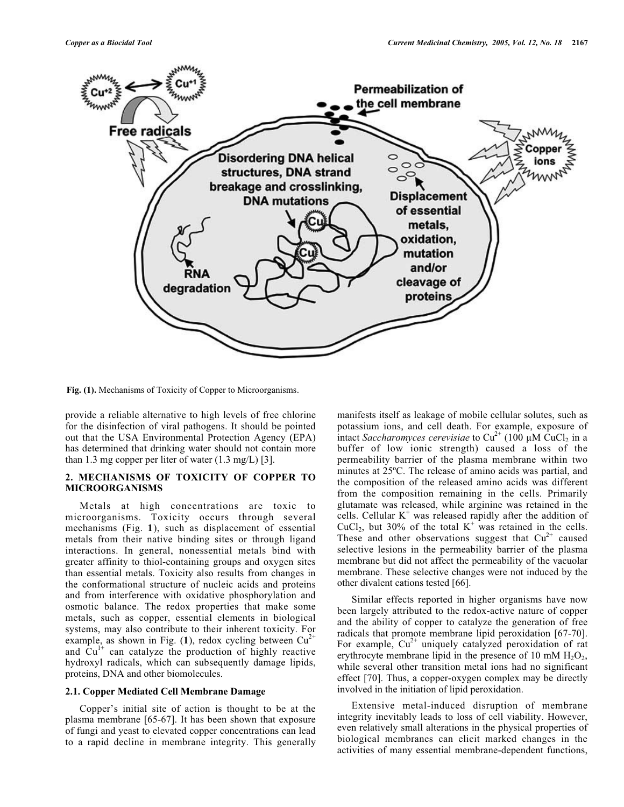

Fig. (1). Mechanisms of Toxicity of Copper to Microorganisms.

provide a reliable alternative to high levels of free chlorine for the disinfection of viral pathogens. It should be pointed out that the USA Environmental Protection Agency (EPA) has determined that drinking water should not contain more than 1.3 mg copper per liter of water (1.3 mg/L) [3].

# 2. MECHANISMS OF TOXICITY OF COPPER TO MICROORGANISMS

Metals at high concentrations are toxic to microorganisms. Toxicity occurs through several mechanisms (Fig. 1), such as displacement of essential metals from their native binding sites or through ligand interactions. In general, nonessential metals bind with greater affinity to thiol-containing groups and oxygen sites than essential metals. Toxicity also results from changes in the conformational structure of nucleic acids and proteins and from interference with oxidative phosphorylation and osmotic balance. The redox properties that make some metals, such as copper, essential elements in biological systems, may also contribute to their inherent toxicity. For example, as shown in Fig. (1), redox cycling between  $Cu^{2+}$ and  $Cu<sup>1+</sup>$  can catalyze the production of highly reactive hydroxyl radicals, which can subsequently damage lipids, proteins, DNA and other biomolecules.

## 2.1. Copper Mediated Cell Membrane Damage

Copper's initial site of action is thought to be at the plasma membrane [65-67]. It has been shown that exposure of fungi and yeast to elevated copper concentrations can lead to a rapid decline in membrane integrity. This generally

manifests itself as leakage of mobile cellular solutes, such as potassium ions, and cell death. For example, exposure of intact Saccharomyces cerevisiae to  $Cu^{2+}$  (100 µM CuCl<sub>2</sub> in a buffer of low ionic strength) caused a loss of the permeability barrier of the plasma membrane within two minutes at 25ºC. The release of amino acids was partial, and the composition of the released amino acids was different from the composition remaining in the cells. Primarily glutamate was released, while arginine was retained in the cells. Cellular  $K^+$  was released rapidly after the addition of CuCl<sub>2</sub>, but 30% of the total  $K^+$  was retained in the cells. These and other observations suggest that  $Cu^{2+}$  caused selective lesions in the permeability barrier of the plasma membrane but did not affect the permeability of the vacuolar membrane. These selective changes were not induced by the other divalent cations tested [66].

Similar effects reported in higher organisms have now been largely attributed to the redox-active nature of copper and the ability of copper to catalyze the generation of free radicals that promote membrane lipid peroxidation [67-70]. For example,  $Cu^{2+}$  uniquely catalyzed peroxidation of rat erythrocyte membrane lipid in the presence of 10 mM  $H_2O_2$ , while several other transition metal ions had no significant effect [70]. Thus, a copper-oxygen complex may be directly involved in the initiation of lipid peroxidation.

Extensive metal-induced disruption of membrane integrity inevitably leads to loss of cell viability. However, even relatively small alterations in the physical properties of biological membranes can elicit marked changes in the activities of many essential membrane-dependent functions,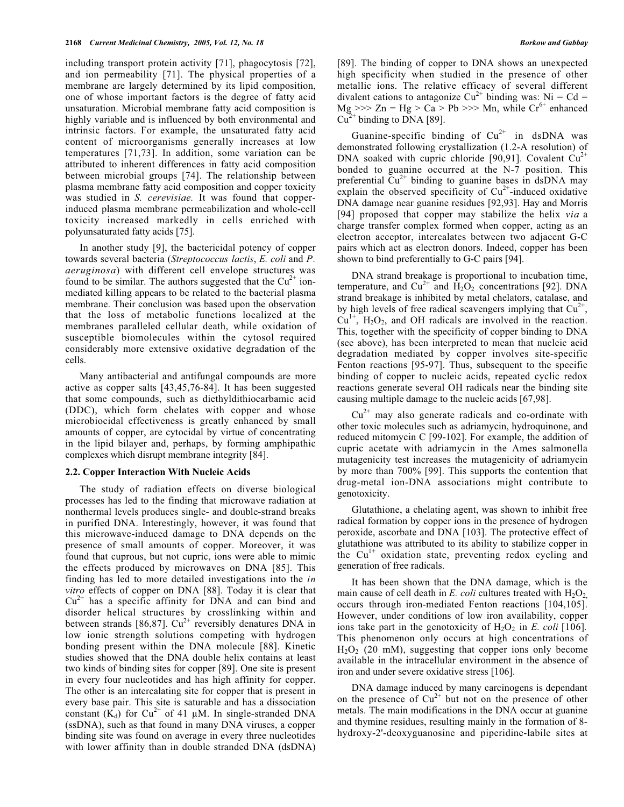including transport protein activity [71], phagocytosis [72], and ion permeability [71]. The physical properties of a membrane are largely determined by its lipid composition, one of whose important factors is the degree of fatty acid unsaturation. Microbial membrane fatty acid composition is highly variable and is influenced by both environmental and intrinsic factors. For example, the unsaturated fatty acid content of microorganisms generally increases at low temperatures [71,73]. In addition, some variation can be attributed to inherent differences in fatty acid composition between microbial groups [74]. The relationship between plasma membrane fatty acid composition and copper toxicity was studied in S. cerevisiae. It was found that copperinduced plasma membrane permeabilization and whole-cell toxicity increased markedly in cells enriched with polyunsaturated fatty acids [75].

In another study [9], the bactericidal potency of copper towards several bacteria (Streptococcus lactis, E. coli and P. aeruginosa) with different cell envelope structures was found to be similar. The authors suggested that the  $Cu^{2+}$  ionmediated killing appears to be related to the bacterial plasma membrane. Their conclusion was based upon the observation that the loss of metabolic functions localized at the membranes paralleled cellular death, while oxidation of susceptible biomolecules within the cytosol required considerably more extensive oxidative degradation of the cells.

Many antibacterial and antifungal compounds are more active as copper salts [43,45,76-84]. It has been suggested that some compounds, such as diethyldithiocarbamic acid (DDC), which form chelates with copper and whose microbiocidal effectiveness is greatly enhanced by small amounts of copper, are cytocidal by virtue of concentrating in the lipid bilayer and, perhaps, by forming amphipathic complexes which disrupt membrane integrity [84].

#### 2.2. Copper Interaction With Nucleic Acids

The study of radiation effects on diverse biological processes has led to the finding that microwave radiation at nonthermal levels produces single- and double-strand breaks in purified DNA. Interestingly, however, it was found that this microwave-induced damage to DNA depends on the presence of small amounts of copper. Moreover, it was found that cuprous, but not cupric, ions were able to mimic the effects produced by microwaves on DNA [85]. This finding has led to more detailed investigations into the in vitro effects of copper on DNA [88]. Today it is clear that  $Cu^{2+}$  has a specific affinity for DNA and can bind and disorder helical structures by crosslinking within and between strands [86,87].  $Cu^{2+}$  reversibly denatures DNA in low ionic strength solutions competing with hydrogen bonding present within the DNA molecule [88]. Kinetic studies showed that the DNA double helix contains at least two kinds of binding sites for copper [89]. One site is present in every four nucleotides and has high affinity for copper. The other is an intercalating site for copper that is present in every base pair. This site is saturable and has a dissociation constant ( $K_d$ ) for Cu<sup>2+</sup> of 41 µM. In single-stranded DNA (ssDNA), such as that found in many DNA viruses, a copper binding site was found on average in every three nucleotides with lower affinity than in double stranded DNA (dsDNA)

[89]. The binding of copper to DNA shows an unexpected high specificity when studied in the presence of other metallic ions. The relative efficacy of several different divalent cations to antagonize  $Cu^{2+}$  binding was: Ni = Cd =  $Mg \gg\gg Zn = Hg > Ca > Pb \gg\gg Mn$ , while  $Cr^{6+}$  enhanced  $Cu^{2+}$  binding to DNA [89].

Guanine-specific binding of  $Cu^{2+}$  in dsDNA was demonstrated following crystallization (1.2-A resolution) of DNA soaked with cupric chloride [90,91]. Covalent  $Cu^{2+}$ bonded to guanine occurred at the N-7 position. This preferential  $Cu^{2+}$  binding to guanine bases in dsDNA may explain the observed specificity of  $Cu^{2+}$ -induced oxidative DNA damage near guanine residues [92,93]. Hay and Morris [94] proposed that copper may stabilize the helix *via* a charge transfer complex formed when copper, acting as an electron acceptor, intercalates between two adjacent G-C pairs which act as electron donors. Indeed, copper has been shown to bind preferentially to G-C pairs [94].

DNA strand breakage is proportional to incubation time, temperature, and  $Cu^{2+}$  and  $H_2O_2$  concentrations [92]. DNA strand breakage is inhibited by metal chelators, catalase, and by high levels of free radical scavengers implying that  $Cu^{2+}$ ,  $Cu<sup>1+</sup>$ , H<sub>2</sub>O<sub>2</sub>, and OH radicals are involved in the reaction. This, together with the specificity of copper binding to DNA (see above), has been interpreted to mean that nucleic acid degradation mediated by copper involves site-specific Fenton reactions [95-97]. Thus, subsequent to the specific binding of copper to nucleic acids, repeated cyclic redox reactions generate several OH radicals near the binding site causing multiple damage to the nucleic acids [67,98].

 $Cu<sup>2+</sup>$  may also generate radicals and co-ordinate with other toxic molecules such as adriamycin, hydroquinone, and reduced mitomycin C [99-102]. For example, the addition of cupric acetate with adriamycin in the Ames salmonella mutagenicity test increases the mutagenicity of adriamycin by more than 700% [99]. This supports the contention that drug-metal ion-DNA associations might contribute to genotoxicity.

Glutathione, a chelating agent, was shown to inhibit free radical formation by copper ions in the presence of hydrogen peroxide, ascorbate and DNA [103]. The protective effect of glutathione was attributed to its ability to stabilize copper in the  $Cu<sup>1+</sup>$  oxidation state, preventing redox cycling and generation of free radicals.

It has been shown that the DNA damage, which is the main cause of cell death in E. coli cultures treated with  $H_2O_2$ . occurs through iron-mediated Fenton reactions [104,105]. However, under conditions of low iron availability, copper ions take part in the genotoxicity of  $H_2O_2$  in E. coli [106]. This phenomenon only occurs at high concentrations of  $H<sub>2</sub>O<sub>2</sub>$  (20 mM), suggesting that copper ions only become available in the intracellular environment in the absence of iron and under severe oxidative stress [106].

DNA damage induced by many carcinogens is dependant on the presence of  $Cu^{2+}$  but not on the presence of other metals. The main modifications in the DNA occur at guanine and thymine residues, resulting mainly in the formation of 8 hydroxy-2'-deoxyguanosine and piperidine-labile sites at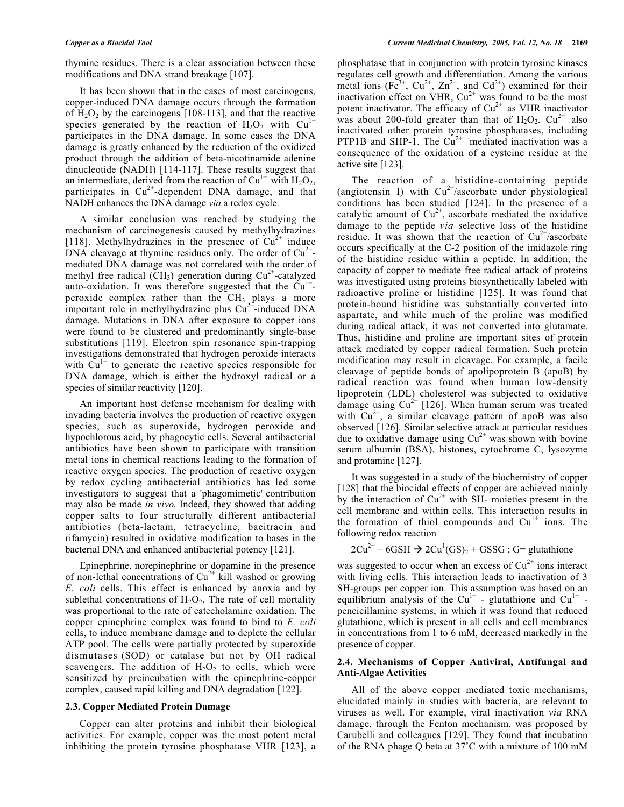thymine residues. There is a clear association between these modifications and DNA strand breakage [107].

It has been shown that in the cases of most carcinogens, copper-induced DNA damage occurs through the formation of  $H_2O_2$  by the carcinogens [108-113], and that the reactive species generated by the reaction of  $H_2O_2$  with  $Cu<sup>1+</sup>$ participates in the DNA damage. In some cases the DNA damage is greatly enhanced by the reduction of the oxidized product through the addition of beta-nicotinamide adenine dinucleotide (NADH) [114-117]. These results suggest that an intermediate, derived from the reaction of  $Cu^{1+}$  with  $H_2O_2$ , participates in  $Cu^{2+}$ -dependent DNA damage, and that NADH enhances the DNA damage via a redox cycle.

A similar conclusion was reached by studying the mechanism of carcinogenesis caused by methylhydrazines [118]. Methylhydrazines in the presence of  $Cu^{2+}$  induce DNA cleavage at thymine residues only. The order of  $Cu^{2+}$ mediated DNA damage was not correlated with the order of methyl free radical (CH<sub>3</sub>) generation during  $Cu^{2+}$ -catalyzed auto-oxidation. It was therefore suggested that the  $Cu^{1+}$ peroxide complex rather than the  $CH<sub>3</sub>$  plays a more important role in methylhydrazine plus  $Cu^{2+}$ -induced DNA damage. Mutations in DNA after exposure to copper ions were found to be clustered and predominantly single-base substitutions [119]. Electron spin resonance spin-trapping investigations demonstrated that hydrogen peroxide interacts with  $Cu<sup>1+</sup>$  to generate the reactive species responsible for DNA damage, which is either the hydroxyl radical or a species of similar reactivity [120].

An important host defense mechanism for dealing with invading bacteria involves the production of reactive oxygen species, such as superoxide, hydrogen peroxide and hypochlorous acid, by phagocytic cells. Several antibacterial antibiotics have been shown to participate with transition metal ions in chemical reactions leading to the formation of reactive oxygen species. The production of reactive oxygen by redox cycling antibacterial antibiotics has led some investigators to suggest that a 'phagomimetic' contribution may also be made in vivo. Indeed, they showed that adding copper salts to four structurally different antibacterial antibiotics (beta-lactam, tetracycline, bacitracin and rifamycin) resulted in oxidative modification to bases in the bacterial DNA and enhanced antibacterial potency [121].

Epinephrine, norepinephrine or dopamine in the presence of non-lethal concentrations of  $Cu^{2+}$  kill washed or growing E. coli cells. This effect is enhanced by anoxia and by sublethal concentrations of  $H_2O_2$ . The rate of cell mortality was proportional to the rate of catecholamine oxidation. The copper epinephrine complex was found to bind to E. coli cells, to induce membrane damage and to deplete the cellular ATP pool. The cells were partially protected by superoxide dismutases (SOD) or catalase but not by OH radical scavengers. The addition of  $H_2O_2$  to cells, which were sensitized by preincubation with the epinephrine-copper complex, caused rapid killing and DNA degradation [122].

## 2.3. Copper Mediated Protein Damage

Copper can alter proteins and inhibit their biological activities. For example, copper was the most potent metal inhibiting the protein tyrosine phosphatase VHR [123], a

phosphatase that in conjunction with protein tyrosine kinases regulates cell growth and differentiation. Among the various metal ions (Fe<sup>3+</sup>, Cu<sup>2+</sup>, Zn<sup>2+</sup>, and Cd<sup>2+</sup>) examined for their inactivation effect on VHR,  $Cu^{2+}$  was found to be the most potent inactivator. The efficacy of  $Cu^{2+}$  as VHR inactivator was about 200-fold greater than that of  $H_2O_2$ .  $Cu^{2+}$  also inactivated other protein tyrosine phosphatases, including PTP1B and SHP-1. The  $Cu^{2+}$  -mediated inactivation was a consequence of the oxidation of a cysteine residue at the active site [123].

The reaction of a histidine-containing peptide (angiotensin I) with  $Cu^{2+}/$ ascorbate under physiological conditions has been studied [124]. In the presence of a catalytic amount of  $Cu^{2+}$ , ascorbate mediated the oxidative damage to the peptide via selective loss of the histidine residue. It was shown that the reaction of  $Cu^{2+}/$ ascorbate occurs specifically at the C-2 position of the imidazole ring of the histidine residue within a peptide. In addition, the capacity of copper to mediate free radical attack of proteins was investigated using proteins biosynthetically labeled with radioactive proline or histidine [125]. It was found that protein-bound histidine was substantially converted into aspartate, and while much of the proline was modified during radical attack, it was not converted into glutamate. Thus, histidine and proline are important sites of protein attack mediated by copper radical formation. Such protein modification may result in cleavage. For example, a facile cleavage of peptide bonds of apolipoprotein B (apoB) by radical reaction was found when human low-density lipoprotein (LDL) cholesterol was subjected to oxidative damage using  $Cu^{2+}$  [126]. When human serum was treated with  $Cu<sup>2+</sup>$ , a similar cleavage pattern of apoB was also observed [126]. Similar selective attack at particular residues due to oxidative damage using  $Cu^{2+}$  was shown with bovine serum albumin (BSA), histones, cytochrome C, lysozyme and protamine [127].

It was suggested in a study of the biochemistry of copper [128] that the biocidal effects of copper are achieved mainly by the interaction of  $Cu^{2+}$  with SH- moieties present in the cell membrane and within cells. This interaction results in the formation of thiol compounds and  $Cu<sup>1+</sup>$  ions. The following redox reaction

$$
2Cu^{2+} + 6GSH \rightarrow 2Cu^{1}(GS)_{2} + GSSG ; G=glutathione
$$

was suggested to occur when an excess of  $Cu<sup>2+</sup>$  ions interact with living cells. This interaction leads to inactivation of 3 SH-groups per copper ion. This assumption was based on an equilibrium analysis of the  $Cu^{1+}$  - glutathione and  $Cu^{1+}$  pencicillamine systems, in which it was found that reduced glutathione, which is present in all cells and cell membranes in concentrations from 1 to 6 mM, decreased markedly in the presence of copper.

# 2.4. Mechanisms of Copper Antiviral, Antifungal and Anti-Algae Activities

All of the above copper mediated toxic mechanisms, elucidated mainly in studies with bacteria, are relevant to viruses as well. For example, viral inactivation via RNA damage, through the Fenton mechanism, was proposed by Carubelli and colleagues [129]. They found that incubation of the RNA phage Q beta at  $37^{\circ}$ C with a mixture of 100 mM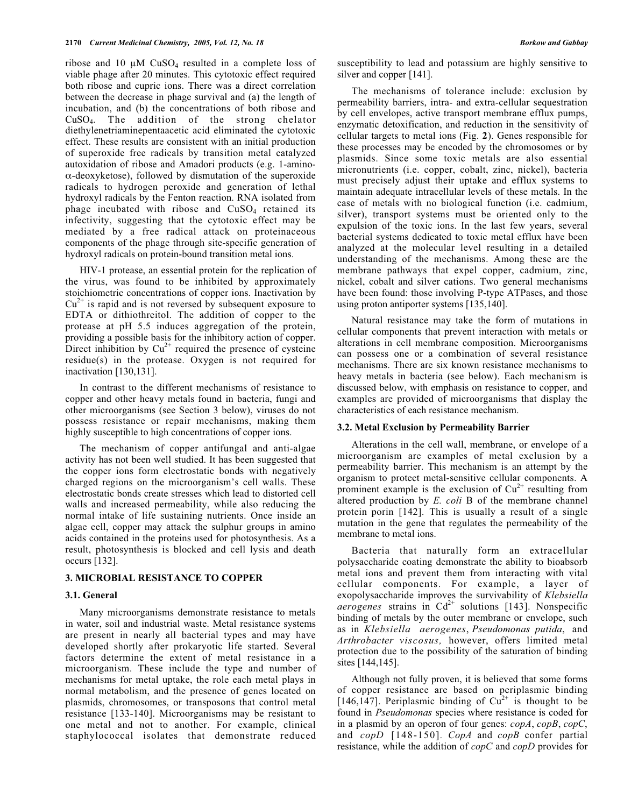ribose and 10  $\mu$ M CuSO<sub>4</sub> resulted in a complete loss of viable phage after 20 minutes. This cytotoxic effect required both ribose and cupric ions. There was a direct correlation between the decrease in phage survival and (a) the length of incubation, and (b) the concentrations of both ribose and CuSO4. The addition of the strong chelator diethylenetriaminepentaacetic acid eliminated the cytotoxic effect. These results are consistent with an initial production of superoxide free radicals by transition metal catalyzed autoxidation of ribose and Amadori products (e.g. 1-amino-  $\alpha$ -deoxyketose), followed by dismutation of the superoxide radicals to hydrogen peroxide and generation of lethal hydroxyl radicals by the Fenton reaction. RNA isolated from phage incubated with ribose and  $CuSO<sub>4</sub>$  retained its infectivity, suggesting that the cytotoxic effect may be mediated by a free radical attack on proteinaceous components of the phage through site-specific generation of hydroxyl radicals on protein-bound transition metal ions.

HIV-1 protease, an essential protein for the replication of the virus, was found to be inhibited by approximately stoichiometric concentrations of copper ions. Inactivation by  $Cu^{2+}$  is rapid and is not reversed by subsequent exposure to EDTA or dithiothreitol. The addition of copper to the protease at pH 5.5 induces aggregation of the protein, providing a possible basis for the inhibitory action of copper. Direct inhibition by  $Cu^{2+}$  required the presence of cysteine residue(s) in the protease. Oxygen is not required for inactivation [130,131].

In contrast to the different mechanisms of resistance to copper and other heavy metals found in bacteria, fungi and other microorganisms (see Section 3 below), viruses do not possess resistance or repair mechanisms, making them highly susceptible to high concentrations of copper ions.

The mechanism of copper antifungal and anti-algae activity has not been well studied. It has been suggested that the copper ions form electrostatic bonds with negatively charged regions on the microorganism's cell walls. These electrostatic bonds create stresses which lead to distorted cell walls and increased permeability, while also reducing the normal intake of life sustaining nutrients. Once inside an algae cell, copper may attack the sulphur groups in amino acids contained in the proteins used for photosynthesis. As a result, photosynthesis is blocked and cell lysis and death occurs [132].

#### 3. MICROBIAL RESISTANCE TO COPPER

#### 3.1. General

Many microorganisms demonstrate resistance to metals in water, soil and industrial waste. Metal resistance systems are present in nearly all bacterial types and may have developed shortly after prokaryotic life started. Several factors determine the extent of metal resistance in a microorganism. These include the type and number of mechanisms for metal uptake, the role each metal plays in normal metabolism, and the presence of genes located on plasmids, chromosomes, or transposons that control metal resistance [133-140]. Microorganisms may be resistant to one metal and not to another. For example, clinical staphylococcal isolates that demonstrate reduced

susceptibility to lead and potassium are highly sensitive to silver and copper [141].

The mechanisms of tolerance include: exclusion by permeability barriers, intra- and extra-cellular sequestration by cell envelopes, active transport membrane efflux pumps, enzymatic detoxification, and reduction in the sensitivity of cellular targets to metal ions (Fig. 2). Genes responsible for these processes may be encoded by the chromosomes or by plasmids. Since some toxic metals are also essential micronutrients (i.e. copper, cobalt, zinc, nickel), bacteria must precisely adjust their uptake and efflux systems to maintain adequate intracellular levels of these metals. In the case of metals with no biological function (i.e. cadmium, silver), transport systems must be oriented only to the expulsion of the toxic ions. In the last few years, several bacterial systems dedicated to toxic metal efflux have been analyzed at the molecular level resulting in a detailed understanding of the mechanisms. Among these are the membrane pathways that expel copper, cadmium, zinc, nickel, cobalt and silver cations. Two general mechanisms have been found: those involving P-type ATPases, and those using proton antiporter systems [135,140].

Natural resistance may take the form of mutations in cellular components that prevent interaction with metals or alterations in cell membrane composition. Microorganisms can possess one or a combination of several resistance mechanisms. There are six known resistance mechanisms to heavy metals in bacteria (see below). Each mechanism is discussed below, with emphasis on resistance to copper, and examples are provided of microorganisms that display the characteristics of each resistance mechanism.

# 3.2. Metal Exclusion by Permeability Barrier

Alterations in the cell wall, membrane, or envelope of a microorganism are examples of metal exclusion by a permeability barrier. This mechanism is an attempt by the organism to protect metal-sensitive cellular components. A prominent example is the exclusion of  $Cu^{2+}$  resulting from altered production by E. coli B of the membrane channel protein porin [142]. This is usually a result of a single mutation in the gene that regulates the permeability of the membrane to metal ions.

Bacteria that naturally form an extracellular polysaccharide coating demonstrate the ability to bioabsorb metal ions and prevent them from interacting with vital cellular components. For example, a layer of exopolysaccharide improves the survivability of Klebsiella aerogenes strains in  $Cd^{2+}$  solutions [143]. Nonspecific binding of metals by the outer membrane or envelope, such as in Klebsiella aerogenes, Pseudomonas putida, and Arthrobacter viscosus, however, offers limited metal protection due to the possibility of the saturation of binding sites [144,145].

Although not fully proven, it is believed that some forms of copper resistance are based on periplasmic binding [146,147]. Periplasmic binding of  $Cu^{2+}$  is thought to be found in Pseudomonas species where resistance is coded for in a plasmid by an operon of four genes: copA, copB, copC, and *copD* [148-150]. CopA and copB confer partial resistance, while the addition of copC and copD provides for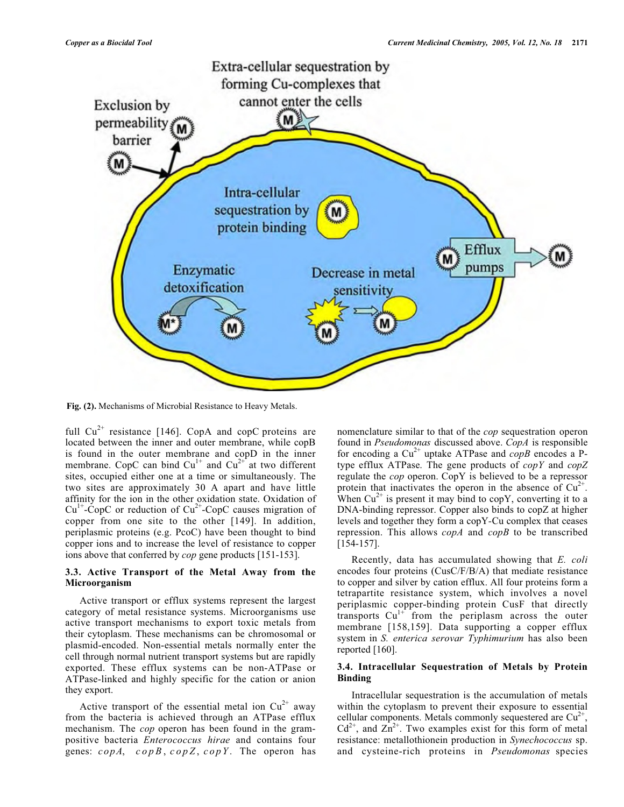

Fig. (2). Mechanisms of Microbial Resistance to Heavy Metals.

full  $Cu^{2+}$  resistance [146]. CopA and copC proteins are located between the inner and outer membrane, while copB is found in the outer membrane and copD in the inner membrane. CopC can bind  $Cu^{1+}$  and  $Cu^{2+}$  at two different sites, occupied either one at a time or simultaneously. The two sites are approximately 30 A apart and have little affinity for the ion in the other oxidation state. Oxidation of  $Cu<sup>1+</sup>-CopC$  or reduction of  $Cu<sup>2+</sup>-CopC$  causes migration of copper from one site to the other [149]. In addition, periplasmic proteins (e.g. PcoC) have been thought to bind copper ions and to increase the level of resistance to copper ions above that conferred by cop gene products [151-153].

# 3.3. Active Transport of the Metal Away from the Microorganism

Active transport or efflux systems represent the largest category of metal resistance systems. Microorganisms use active transport mechanisms to export toxic metals from their cytoplasm. These mechanisms can be chromosomal or plasmid-encoded. Non-essential metals normally enter the cell through normal nutrient transport systems but are rapidly exported. These efflux systems can be non-ATPase or ATPase-linked and highly specific for the cation or anion they export.

Active transport of the essential metal ion  $Cu^{2+}$  away from the bacteria is achieved through an ATPase efflux mechanism. The cop operon has been found in the grampositive bacteria Enterococcus hirae and contains four genes:  $\cosh$ ,  $\cosh$ ,  $\cosh$ ,  $\cosh$ ,  $\cosh$ ,  $\sinh$ . The operon has

nomenclature similar to that of the cop sequestration operon found in Pseudomonas discussed above. CopA is responsible for encoding a  $Cu^{2+}$  uptake ATPase and  $\overrightarrow{copB}$  encodes a Ptype efflux ATPase. The gene products of  $\text{cop}Y$  and  $\text{cop}Z$ regulate the cop operon. CopY is believed to be a repressor protein that inactivates the operon in the absence of  $Cu^{2+}$ . When  $Cu^{2+}$  is present it may bind to copY, converting it to a DNA-binding repressor. Copper also binds to copZ at higher levels and together they form a copY-Cu complex that ceases repression. This allows copA and copB to be transcribed [154-157].

Recently, data has accumulated showing that E. coli encodes four proteins (CusC/F/B/A) that mediate resistance to copper and silver by cation efflux. All four proteins form a tetrapartite resistance system, which involves a novel periplasmic copper-binding protein CusF that directly transports  $Cu<sup>1+</sup>$  from the periplasm across the outer membrane [158,159]. Data supporting a copper efflux system in S. enterica serovar Typhimurium has also been reported [160].

# 3.4. Intracellular Sequestration of Metals by Protein Binding

Intracellular sequestration is the accumulation of metals within the cytoplasm to prevent their exposure to essential cellular components. Metals commonly sequestered are  $Cu^{2+}$ ,  $Cd^{2+}$ , and  $Zn^{2+}$ . Two examples exist for this form of metal resistance: metallothionein production in Synechococcus sp. and cysteine-rich proteins in Pseudomonas species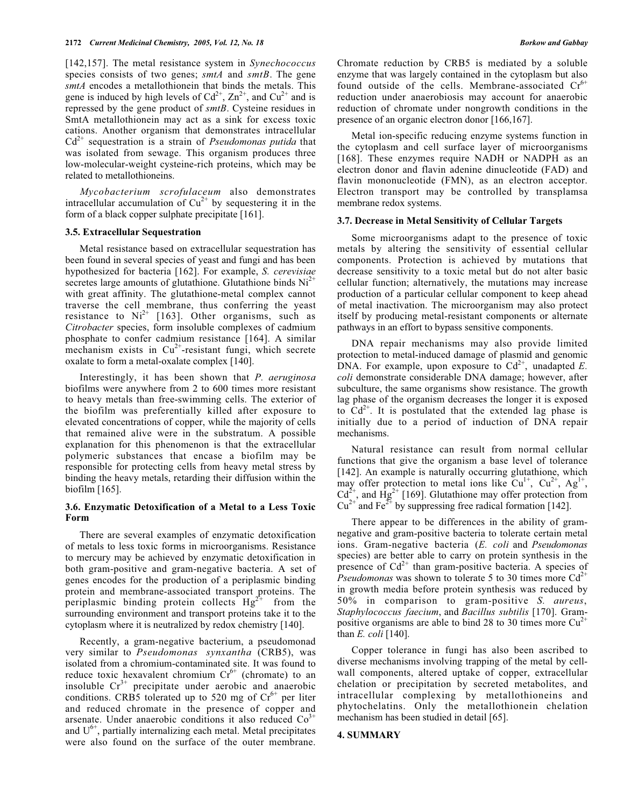[142,157]. The metal resistance system in Synechococcus species consists of two genes; *smtA* and *smtB*. The gene smtA encodes a metallothionein that binds the metals. This gene is induced by high levels of  $Cd^{2+}$ ,  $Zn^{2+}$ , and  $Cu^{2+}$  and is repressed by the gene product of smtB. Cysteine residues in SmtA metallothionein may act as a sink for excess toxic cations. Another organism that demonstrates intracellular  $Cd^{2+}$  sequestration is a strain of *Pseudomonas putida* that was isolated from sewage. This organism produces three low-molecular-weight cysteine-rich proteins, which may be related to metallothioneins.

Mycobacterium scrofulaceum also demonstrates intracellular accumulation of  $Cu^{2+}$  by sequestering it in the form of a black copper sulphate precipitate [161].

## 3.5. Extracellular Sequestration

Metal resistance based on extracellular sequestration has been found in several species of yeast and fungi and has been hypothesized for bacteria [162]. For example, S. cerevisiae secretes large amounts of glutathione. Glutathione binds  $Ni<sup>2+</sup>$ with great affinity. The glutathione-metal complex cannot traverse the cell membrane, thus conferring the yeast resistance to  $Ni^{2+}$  [163]. Other organisms, such as Citrobacter species, form insoluble complexes of cadmium phosphate to confer cadmium resistance [164]. A similar mechanism exists in  $Cu^{2+}$ -resistant fungi, which secrete oxalate to form a metal-oxalate complex [140].

Interestingly, it has been shown that P. aeruginosa biofilms were anywhere from 2 to 600 times more resistant to heavy metals than free-swimming cells. The exterior of the biofilm was preferentially killed after exposure to elevated concentrations of copper, while the majority of cells that remained alive were in the substratum. A possible explanation for this phenomenon is that the extracellular polymeric substances that encase a biofilm may be responsible for protecting cells from heavy metal stress by binding the heavy metals, retarding their diffusion within the biofilm [165].

# 3.6. Enzymatic Detoxification of a Metal to a Less Toxic Form

There are several examples of enzymatic detoxification of metals to less toxic forms in microorganisms. Resistance to mercury may be achieved by enzymatic detoxification in both gram-positive and gram-negative bacteria. A set of genes encodes for the production of a periplasmic binding protein and membrane-associated transport proteins. The periplasmic binding protein collects  $Hg^{2+}$  from the surrounding environment and transport proteins take it to the cytoplasm where it is neutralized by redox chemistry [140].

Recently, a gram-negative bacterium, a pseudomonad very similar to Pseudomonas synxantha (CRB5), was isolated from a chromium-contaminated site. It was found to reduce toxic hexavalent chromium  $Cr^{6+}$  (chromate) to an insoluble  $Cr^{3+}$  precipitate under aerobic and anaerobic conditions. CRB5 tolerated up to 520 mg of  $Cr^{6+}$  per liter and reduced chromate in the presence of copper and arsenate. Under anaerobic conditions it also reduced  $Co<sup>3+</sup>$ and  $U^{0+}$ , partially internalizing each metal. Metal precipitates were also found on the surface of the outer membrane.

Chromate reduction by CRB5 is mediated by a soluble enzyme that was largely contained in the cytoplasm but also found outside of the cells. Membrane-associated  $Cr<sup>6+</sup>$ reduction under anaerobiosis may account for anaerobic reduction of chromate under nongrowth conditions in the presence of an organic electron donor [166,167].

Metal ion-specific reducing enzyme systems function in the cytoplasm and cell surface layer of microorganisms [168]. These enzymes require NADH or NADPH as an electron donor and flavin adenine dinucleotide (FAD) and flavin mononucleotide (FMN), as an electron acceptor. Electron transport may be controlled by transplamsa membrane redox systems.

# 3.7. Decrease in Metal Sensitivity of Cellular Targets

Some microorganisms adapt to the presence of toxic metals by altering the sensitivity of essential cellular components. Protection is achieved by mutations that decrease sensitivity to a toxic metal but do not alter basic cellular function; alternatively, the mutations may increase production of a particular cellular component to keep ahead of metal inactivation. The microorganism may also protect itself by producing metal-resistant components or alternate pathways in an effort to bypass sensitive components.

DNA repair mechanisms may also provide limited protection to metal-induced damage of plasmid and genomic DNA. For example, upon exposure to  $Cd^{2+}$ , unadapted E. coli demonstrate considerable DNA damage; however, after subculture, the same organisms show resistance. The growth lag phase of the organism decreases the longer it is exposed to  $Cd^{2+}$ . It is postulated that the extended lag phase is initially due to a period of induction of DNA repair mechanisms.

Natural resistance can result from normal cellular functions that give the organism a base level of tolerance [142]. An example is naturally occurring glutathione, which may offer protection to metal ions like  $Cu^{1+}$ ,  $Cu^{2+}$ ,  $Ag^{1+}$ ,  $Cd<sup>2+</sup>$ , and Hg<sup>2+</sup> [169]. Glutathione may offer protection from  $Cu^{2+}$  and Fe<sup>2+</sup> by suppressing free radical formation [142].

There appear to be differences in the ability of gramnegative and gram-positive bacteria to tolerate certain metal ions. Gram-negative bacteria (E. coli and Pseudomonas species) are better able to carry on protein synthesis in the presence of  $Cd^{2+}$  than gram-positive bacteria. A species of *Pseudomonas* was shown to tolerate 5 to 30 times more  $Cd^{2+}$ in growth media before protein synthesis was reduced by 50% in comparison to gram-positive S. aureus, Staphylococcus faecium, and Bacillus subtilis [170]. Grampositive organisms are able to bind 28 to 30 times more  $Cu^{2+}$ than E. coli [140].

Copper tolerance in fungi has also been ascribed to diverse mechanisms involving trapping of the metal by cellwall components, altered uptake of copper, extracellular chelation or precipitation by secreted metabolites, and intracellular complexing by metallothioneins and phytochelatins. Only the metallothionein chelation mechanism has been studied in detail [65].

## 4. SUMMARY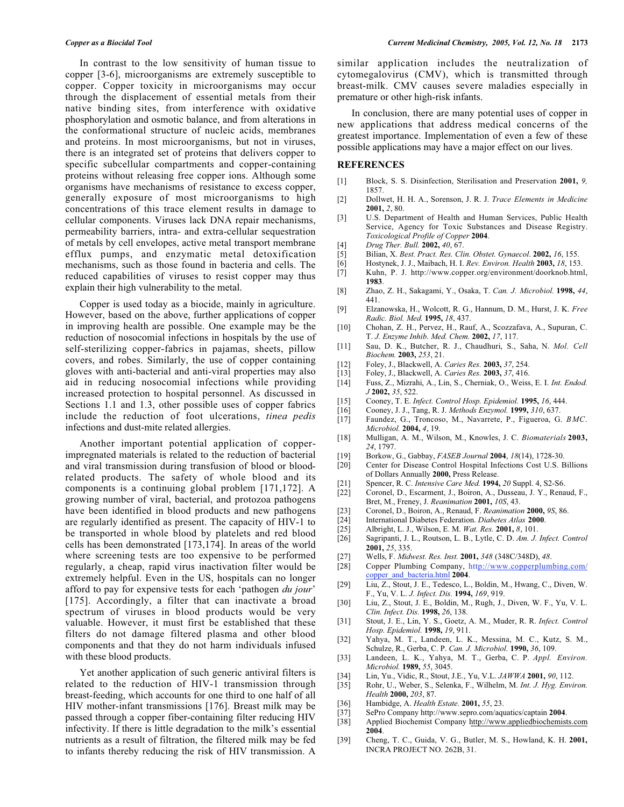In contrast to the low sensitivity of human tissue to copper [3-6], microorganisms are extremely susceptible to copper. Copper toxicity in microorganisms may occur through the displacement of essential metals from their native binding sites, from interference with oxidative phosphorylation and osmotic balance, and from alterations in the conformational structure of nucleic acids, membranes and proteins. In most microorganisms, but not in viruses, there is an integrated set of proteins that delivers copper to specific subcellular compartments and copper-containing proteins without releasing free copper ions. Although some organisms have mechanisms of resistance to excess copper, generally exposure of most microorganisms to high concentrations of this trace element results in damage to cellular components. Viruses lack DNA repair mechanisms, permeability barriers, intra- and extra-cellular sequestration of metals by cell envelopes, active metal transport membrane efflux pumps, and enzymatic metal detoxification mechanisms, such as those found in bacteria and cells. The reduced capabilities of viruses to resist copper may thus explain their high vulnerability to the metal.

Copper is used today as a biocide, mainly in agriculture. However, based on the above, further applications of copper in improving health are possible. One example may be the reduction of nosocomial infections in hospitals by the use of self-sterilizing copper-fabrics in pajamas, sheets, pillow covers, and robes. Similarly, the use of copper containing gloves with anti-bacterial and anti-viral properties may also aid in reducing nosocomial infections while providing increased protection to hospital personnel. As discussed in Sections 1.1 and 1.3, other possible uses of copper fabrics include the reduction of foot ulcerations, tinea pedis infections and dust-mite related allergies.

Another important potential application of copperimpregnated materials is related to the reduction of bacterial and viral transmission during transfusion of blood or bloodrelated products. The safety of whole blood and its components is a continuing global problem [171,172]. A growing number of viral, bacterial, and protozoa pathogens have been identified in blood products and new pathogens are regularly identified as present. The capacity of HIV-1 to be transported in whole blood by platelets and red blood cells has been demonstrated [173,174]. In areas of the world where screening tests are too expensive to be performed regularly, a cheap, rapid virus inactivation filter would be extremely helpful. Even in the US, hospitals can no longer afford to pay for expensive tests for each 'pathogen du jour' [175]. Accordingly, a filter that can inactivate a broad spectrum of viruses in blood products would be very valuable. However, it must first be established that these filters do not damage filtered plasma and other blood components and that they do not harm individuals infused with these blood products.

Yet another application of such generic antiviral filters is related to the reduction of HIV-1 transmission through breast-feeding, which accounts for one third to one half of all HIV mother-infant transmissions [176]. Breast milk may be passed through a copper fiber-containing filter reducing HIV infectivity. If there is little degradation to the milk's essential nutrients as a result of filtration, the filtered milk may be fed to infants thereby reducing the risk of HIV transmission. A

similar application includes the neutralization of cytomegalovirus (CMV), which is transmitted through breast-milk. CMV causes severe maladies especially in premature or other high-risk infants.

In conclusion, there are many potential uses of copper in new applications that address medical concerns of the greatest importance. Implementation of even a few of these possible applications may have a major effect on our lives.

# **REFERENCES**

- [1] Block, S. S. Disinfection, Sterilisation and Preservation 2001, 9, 1857.
- [2] Dollwet, H. H. A., Sorenson, J. R. J. Trace Elements in Medicine 2001, 2, 80.
- [3] U.S. Department of Health and Human Services, Public Health Service, Agency for Toxic Substances and Disease Registry. Toxicological Profile of Copper 2004.
- [4] Drug Ther. Bull. **2002**, 40, 67.
- [5] Bilian, X. Best. Pract. Res. Clin. Obstet. Gynaecol. **2002**, 16, 155.
- [6] Hostynek, J. J., Maibach, H. I. Rev. Environ. Health 2003, 18, 153.
- [7] Kuhn, P. J. http://www.copper.org/environment/doorknob.html, 1983.
- [8] Zhao, Z. H., Sakagami, Y., Osaka, T. Can. J. Microbiol. 1998, 44, 441.
- [9] Elzanowska, H., Wolcott, R. G., Hannum, D. M., Hurst, J. K. Free Radic. Biol. Med. 1995, 18, 437.
- [10] Chohan, Z. H., Pervez, H., Rauf, A., Scozzafava, A., Supuran, C. T. J. Enzyme Inhib. Med. Chem. 2002, 17, 117.
- [11] Sau, D. K., Butcher, R. J., Chaudhuri, S., Saha, N. Mol. Cell Biochem. 2003, 253, 21.
- [12] Foley, J., Blackwell, A. Caries Res. 2003, 37, 254.
- [13] Foley, J., Blackwell, A. Caries Res. 2003, 37, 416.<br>[14] Fuss, Z., Mizrahi, A., Lin, S., Cherniak, O., Weiss
- Fuss, Z., Mizrahi, A., Lin, S., Cherniak, O., Weiss, E. I. Int. Endod. J 2002, 35, 522.
- [15] Cooney, T. E. Infect. Control Hosp. Epidemiol. 1995, 16, 444.
- [16] Cooney, J. J., Tang, R. J. *Methods Enzymol*. **1999,** 310, 637. [17] Faundez, G., Troncoso, M., Navarrete, P., Figueroa, G.
- Faundez, G., Troncoso, M., Navarrete, P., Figueroa, G. BMC. Microbiol. 2004, 4, 19.
- [18] Mulligan, A. M., Wilson, M., Knowles, J. C. Biomaterials 2003, 24, 1797.
- 
- [19] Borkow, G., Gabbay, FASEB Journal 2004, 18(14), 1728-30.<br>[20] Center for Disease Control Hospital Infections Cost U.S. E Center for Disease Control Hospital Infections Cost U.S. Billions of Dollars Annually 2000, Press Release.
- [21] Spencer, R. C. *Intensive Care Med.* **1994,** 20 Suppl. 4, S2-S6. [22] Coronel, D., Escarment, J., Boiron, A., Dusseau, J. Y., Rena
- [22] Coronel, D., Escarment, J., Boiron, A., Dusseau, J. Y., Renaud, F., Bret, M., Freney, J. Reanimation 2001, 10S, 43.
- [23] Coronel, D., Boiron, A., Renaud, F. Reanimation 2000, 9S, 86.<br>[24] International Diabetes Federation. Diabetes Atlas 2000.
- International Diabetes Federation. Diabetes Atlas 2000.
- [25] Albright, L. J., Wilson, E. M. Wat. Res. 2001, 8, 101.<br>[26] Sagripanti, J. L., Routson, L. B., Lytle, C. D. Am. J.
- Sagripanti, J. L., Routson, L. B., Lytle, C. D. Am. J. Infect. Control 2001, 25, 335.
- [27] Wells, F. Midwest. Res. Inst. 2001, 348 (348C/348D), 48.
- [28] Copper Plumbing Company, http://www.copperplumbing.com/ copper\_and\_bacteria.html 2004.
- [29] Liu, Z., Stout, J. E., Tedesco, L., Boldin, M., Hwang, C., Diven, W. F., Yu, V. L. J. Infect. Dis. 1994, 169, 919.
- [30] Liu, Z., Stout, J. E., Boldin, M., Rugh, J., Diven, W. F., Yu, V. L. Clin. Infect. Dis. 1998, 26, 138.
- [31] Stout, J. E., Lin, Y. S., Goetz, A. M., Muder, R. R. Infect. Control Hosp. Epidemiol. 1998, 19, 911.
- [32] Yahya, M. T., Landeen, L. K., Messina, M. C., Kutz, S. M., Schulze, R., Gerba, C. P. Can. J. Microbiol. 1990, 36, 109.
- [33] Landeen, L. K., Yahya, M. T., Gerba, C. P. Appl. Environ. Microbiol. 1989, 55, 3045.
- [34] Lin, Yu., Vidic, R., Stout, J.E., Yu, V.L. *JAWWA* 2001, 90, 112.
- [35] Rohr, U., Weber, S., Selenka, F., Wilhelm, M. Int. J. Hyg. Environ. Health 2000, 203, 87.
- [36] Hambidge, A. Health Estate. 2001, 55, 23.
- [37] SePro Company http://www.sepro.com/aquatics/captain 2004.<br>[38] Applied Biochemist Company http://www.appliedbiochemist
- Applied Biochemist Company http://www.appliedbiochemists.com 2004.
- [39] Cheng, T. C., Guida, V. G., Butler, M. S., Howland, K. H. 2001, INCRA PROJECT NO. 262B, 31.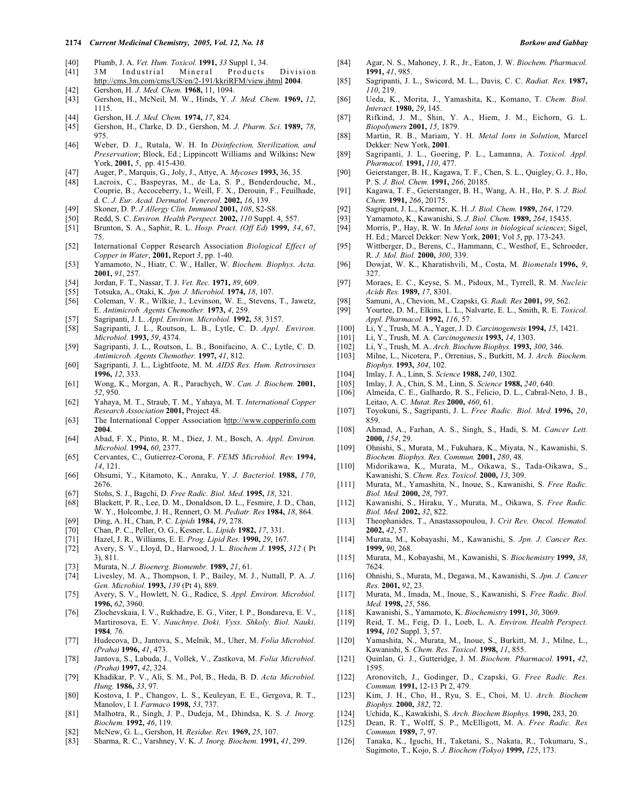#### 2174 Current Medicinal Chemistry, 2005, Vol. 12, No. 18 Borkow and Gabbay

- [40] Plumb, J. A. Vet. Hum. Toxicol. 1991, 33 Suppl 1, 34.
- [41] 3M Industrial Mineral Products Division http://cms.3m.com/cms/US/en/2-191/kkriRFM/view.jhtml 2004.
- [42] Gershon, H. J. Med. Chem. **1968**, 11, 1094.<br>[43] Gershon, H., McNeil, M. W., Hinds, Y. J
- Gershon, H., McNeil, M. W., Hinds, Y. J. Med. Chem. 1969, 12, 1115.
- [44] Gershon, H. J. Med. Chem. 1974, 17, 824.
- [45] Gershon, H., Clarke, D. D., Gershon, M. J. Pharm. Sci. 1989, 78, 975.
- [46] Weber, D. J., Rutala, W. H. In Disinfection, Sterilization, and Preservation; Block, Ed.; Lippincott Williams and Wilkins: New York, 2001, 5, pp. 415-430.
- [47] Auger, P., Marquis, G., Joly, J., Attye, A. Mycoses 1993, 36, 35.
- [48] Lacroix, C., Baspeyras, M., de La, S. P., Benderdouche, M., Couprie, B., Accoceberry, I., Weill, F. X., Derouin, F., Feuilhade, d. C. J. Eur. Acad. Dermatol. Venereol. 2002, 16, 139.
- [49] Skoner, D. P. J Allergy Clin. Immunol 2001, 108, S2-S8.
- [50] Redd, S. C. *Environ. Health Perspect.* **2002,** *110* Suppl. 4, 557. [51] Brunton, S. A., Saphir, R. L. *Hosp. Pract. (Off Ed)* **1999,** 34
- Brunton, S. A., Saphir, R. L. Hosp. Pract. (Off Ed) 1999, 34, 67, 75.
- [52] International Copper Research Association Biological Effect of Copper in Water, 2001, Report 3, pp. 1-40.
- [53] Yamamoto, N., Hiatr, C. W., Haller, W. Biochem. Biophys. Acta. 2001, 91, 257.
- [54] Jordan, F. T., Nassar, T. J. Vet. Rec. 1971, 89, 609.
- 
- [55] Totsuka, A., Otaki, K. Jpn. J. Microbiol. 1974, 18, 107.<br>[56] Coleman, V. R., Wilkie, J., Levinson, W. E., Stevens [56] Coleman, V. R., Wilkie, J., Levinson, W. E., Stevens, T., Jawetz, E. Antimicrob. Agents Chemother. 1973, 4, 259.
- [57] Sagripanti, J. L. Appl. Environ. Microbiol. 1992, 58, 3157.
- [58] Sagripanti, J. L., Routson, L. B., Lytle, C. D. Appl. Environ. Microbiol. 1993, 59, 4374.
- [59] Sagripanti, J. L., Routson, L. B., Bonifacino, A. C., Lytle, C. D. Antimicrob. Agents Chemother. 1997, 41, 812.
- [60] Sagripanti, J. L., Lightfoote, M. M. AIDS Res. Hum. Retroviruses 1996, 12, 333.
- [61] Wong, K., Morgan, A. R., Parachych, W. Can. J. Biochem. 2001, 52, 950.
- [62] Yahaya, M. T., Straub, T. M., Yahaya, M. T. International Copper Research Association 2001, Project 48.
- [63] The International Copper Association http://www.copperinfo.com 2004.
- [64] Abad, F. X., Pinto, R. M., Diez, J. M., Bosch, A. Appl. Environ. Microbiol. 1994, 60, 2377.
- [65] Cervantes, C., Gutierrez-Corona, F. FEMS Microbiol. Rev. 1994, 14, 121.
- [66] Ohsumi, Y., Kitamoto, K., Anraku, Y. J. Bacteriol. 1988, 170, 2676.
- [67] Stohs, S. J., Bagchi, D. *Free Radic. Biol. Med.* **1995**, 18, 321. [68] Blackett, P. R., Lee, D. M., Donaldson, D. L., Fesmire, J. D.
- [68] Blackett, P. R., Lee, D. M., Donaldson, D. L., Fesmire, J. D., Chan, W. Y., Holcombe, J. H., Rennert, O. M. Pediatr. Res 1984, 18, 864.
- [69] Ding, A. H., Chan, P. C. Lipids 1984, 19, 278.
- [70] Chan, P. C., Peller, O. G., Kesner, L. Lipids 1982, 17, 331.
- [71] Hazel, J. R., Williams, E. E. Prog. Lipid Res. 1990, 29, 167.
- [72] Avery, S. V., Lloyd, D., Harwood, J. L. Biochem J. 1995, 312 (Pt 3), 811.
- [73] Murata, N. J. Bioenerg. Biomembr. 1989, 21, 61.<br>[74] Livesley, M. A., Thompson, I. P., Bailey, M. J
- Livesley, M. A., Thompson, I. P., Bailey, M. J., Nuttall, P. A. J. Gen. Microbiol. 1993, 139 (Pt 4), 889.
- [75] Avery, S. V., Howlett, N. G., Radice, S. Appl. Environ. Microbiol. 1996, 62, 3960.
- [76] Zlochevskaia, I. V., Rukhadze, E. G., Viter, I. P., Bondareva, E. V., Martirosova, E. V. Nauchnye. Doki. Vyss. Shkoly. Biol. Nauki. 1984, 76.
- [77] Hudecova, D., Jantova, S., Melnik, M., Uher, M. Folia Microbiol. (Praha) 1996, 41, 473.
- [78] Jantova, S., Labuda, J., Vollek, V., Zastkova, M. Folia Microbiol. (Praha) 1997, 42, 324.
- [79] Khadikar, P. V., Ali, S. M., Pol, B., Heda, B. D. Acta Microbiol. Hung. 1986, 33, 97.
- [80] Kostova, I. P., Changov, L. S., Keuleyan, E. E., Gergova, R. T., Manolov, I. I. Farmaco 1998, 53, 737.
- [81] Malhotra, R., Singh, J. P., Dudeja, M., Dhindsa, K. S. J. Inorg. Biochem. 1992, 46, 119.
- [82] McNew, G. L., Gershon, H. Residue. Rev. 1969, 25, 107.<br>[83] Sharma, R. C., Varshney, V. K. J. Inorg. Biochem. 1991,
- Sharma, R. C., Varshney, V. K. J. Inorg. Biochem. 1991, 41, 299.
- [84] Agar, N. S., Mahoney, J. R., Jr., Eaton, J. W. Biochem. Pharmacol. 1991, 41, 985.
- [85] Sagripanti, J. L., Swicord, M. L., Davis, C. C. Radiat. Res. 1987, 110, 219.
- [86] Ueda, K., Morita, J., Yamashita, K., Komano, T. Chem. Biol. Interact. 1980, 29, 145.
- [87] Rifkind, J. M., Shin, Y. A., Hiem, J. M., Eichorn, G. L. Biopolymers 2001, 15, 1879.
- [88] Martin, R. B., Mariam, Y. H. Metal Ions in Solution, Marcel Dekker: New York, 2001.
- [89] Sagripanti, J. L., Goering, P. L., Lamanna, A. Toxicol. Appl. Pharmacol. 1991, 110, 477.
- [90] Geierstanger, B. H., Kagawa, T. F., Chen, S. L., Quigley, G. J., Ho, P. S. J. Biol. Chem. 1991, 266, 20185.
- [91] Kagawa, T. F., Geierstanger, B. H., Wang, A. H., Ho, P. S. J. Biol. Chem. 1991, 266, 20175.
- [92] Sagripant, J. L., Kraemer, K. H. J. Biol. Chem. 1989, 264, 1729.
- [93] Yamamoto, K., Kawanishi, S. J. Biol. Chem. 1989, 264, 15435.<br>[94] Morris, P., Hay, R. W. In *Metal ions in biological sciences*; S.
- Morris, P., Hay, R. W. In Metal ions in biological sciences; Sigel, H. Ed.; Marcel Dekker: New York, 2001; Vol 5, pp. 173-243.
- [95] Wittberger, D., Berens, C., Hammann, C., Westhof, E., Schroeder, R. J. Mol. Biol. 2000, 300, 339.
- [96] Dowjat, W. K., Kharatishvili, M., Costa, M. Biometals 1996, 9, 327.
- [97] Moraes, E. C., Keyse, S. M., Pidoux, M., Tyrrell, R. M. Nucleic Acids Res. 1989, 17, 8301.
- [98] Samuni, A., Chevion, M., Czapski, G. Radi. Res 2001, 99, 562.
- [99] Yourtee, D. M., Elkins, L. L., Nalvarte, E. L., Smith, R. E. Toxicol. Appl. Pharmacol. 1992, 116, 57.
- [100] Li, Y., Trush, M. A., Yager, J. D. Carcinogenesis 1994, 15, 1421.<br>[101] Li, Y., Trush, M. A. Carcinogenesis 1993, 14, 1303.
- Li, Y., Trush, M. A. Carcinogenesis 1993, 14, 1303.
- [102] Li, Y., Trush, M. A. Arch. Biochem Biophys. 1993, 300, 346.<br>[103] Milne, L., Nicotera, P., Orrenius, S., Burkitt, M. J. Arch. B.
- Milne, L., Nicotera, P., Orrenius, S., Burkitt, M. J. Arch. Biochem. Biophys. 1993, 304, 102.
- [104] Imlay, J. A., Linn, S. Science 1988, 240, 1302.
- [105] Imlay, J. A., Chin, S. M., Linn, S. Science 1988, 240, 640.<br>[106] Almeida, C. E., Galhardo, R. S., Felicio, D. L., Cabral-N
- Almeida, C. E., Galhardo, R. S., Felicio, D. L., Cabral-Neto, J. B., Leitao, A. C. Mutat. Res 2000, 460, 61.
- [107] Toyokuni, S., Sagripanti, J. L. Free Radic. Biol. Med. 1996, 20, 859.
- [108] Ahmad, A., Farhan, A. S., Singh, S., Hadi, S. M. Cancer Lett. 2000, 154, 29.
- [109] Ohnishi, S., Murata, M., Fukuhara, K., Miyata, N., Kawanishi, S. Biochem. Biophys. Res. Commun. 2001, 280, 48.
- [110] Midorikawa, K., Murata, M., Oikawa, S., Tada-Oikawa, S., Kawanishi, S. Chem. Res. Toxicol. 2000, 13, 309.
- [111] Murata, M., Yamashita, N., Inoue, S., Kawanishi, S. Free Radic. Biol. Med. 2000, 28, 797.
- [112] Kawanishi, S., Hiraku, Y., Murata, M., Oikawa, S. Free Radic. Biol. Med. 2002, 32, 822.
- [113] Theophanides, T., Anastassopoulou, J. Crit Rev. Oncol. Hematol. 2002, 42, 57.
- [114] Murata, M., Kobayashi, M., Kawanishi, S. Jpn. J. Cancer Res. 1999, 90, 268.
- [115] Murata, M., Kobayashi, M., Kawanishi, S. Biochemistry 1999, 38, 7624.
- [116] Ohnishi, S., Murata, M., Degawa, M., Kawanishi, S. Jpn. J. Cancer Res. 2001, 92, 23.
- [117] Murata, M., Imada, M., Inoue, S., Kawanishi, S. Free Radic. Biol. Med. 1998, 25, 586.
- [118] Kawanishi, S., Yamamoto, K. Biochemistry 1991, 30, 3069.
- [119] Reid, T. M., Feig, D. I., Loeb, L. A. Environ. Health Perspect. 1994, 102 Suppl. 3, 57.
- [120] Yamashita, N., Murata, M., Inoue, S., Burkitt, M. J., Milne, L., Kawanishi, S. Chem. Res. Toxicol. 1998, 11, 855.
- [121] Quinlan, G. J., Gutteridge, J. M. Biochem. Pharmacol. 1991, 42, 1595.
- [122] Aronovitch, J., Godinger, D., Czapski, G. Free Radic. Res. Commun. 1991, 12-13 Pt 2, 479.
- [123] Kim, J. H., Cho, H., Ryu, S. E., Choi, M. U. Arch. Biochem Biophys. 2000, 382, 72.
- [124] Uchida, K., Kawakishi, S. Arch. Biochem Biophys. 1990, 283, 20.<br>[125] Dean, R. T., Wolff, S. P., McElligott, M. A. Free Radic. R
- Dean, R. T., Wolff, S. P., McElligott, M. A. Free Radic. Res Commun. 1989, 7, 97.
- [126] Tanaka, K., Iguchi, H., Taketani, S., Nakata, R., Tokumaru, S., Sugimoto, T., Kojo, S. J. Biochem (Tokyo) 1999, 125, 173.